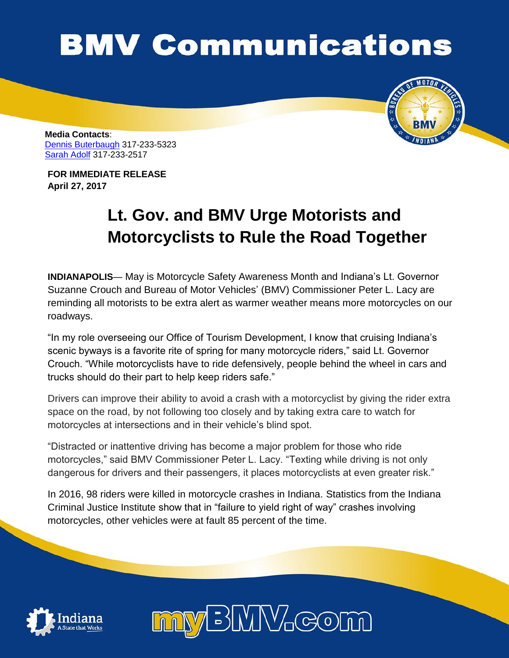## **BMV Communications**



**Media Contacts**: [Dennis Buterbaugh](mailto:dbuterbaugh@bmv.in.gov) 317-233-5323 [Sarah Adolf](mailto:saadolf@bmv.in.gov) 317-233-2517

**FOR IMMEDIATE RELEASE April 27, 2017**

## **Lt. Gov. and BMV Urge Motorists and Motorcyclists to Rule the Road Together**

**INDIANAPOLIS**— May is Motorcycle Safety Awareness Month and Indiana's Lt. Governor Suzanne Crouch and Bureau of Motor Vehicles' (BMV) Commissioner Peter L. Lacy are reminding all motorists to be extra alert as warmer weather means more motorcycles on our roadways.

"In my role overseeing our Office of Tourism Development, I know that cruising Indiana's scenic byways is a favorite rite of spring for many motorcycle riders," said Lt. Governor Crouch. "While motorcyclists have to ride defensively, people behind the wheel in cars and trucks should do their part to help keep riders safe."

Drivers can improve their ability to avoid a crash with a motorcyclist by giving the rider extra space on the road, by not following too closely and by taking extra care to watch for motorcycles at intersections and in their vehicle's blind spot.

"Distracted or inattentive driving has become a major problem for those who ride motorcycles," said BMV Commissioner Peter L. Lacy. "Texting while driving is not only dangerous for drivers and their passengers, it places motorcyclists at even greater risk."

In 2016, 98 riders were killed in motorcycle crashes in Indiana. Statistics from the Indiana Criminal Justice Institute show that in "failure to yield right of way" crashes involving motorcycles, other vehicles were at fault 85 percent of the time.